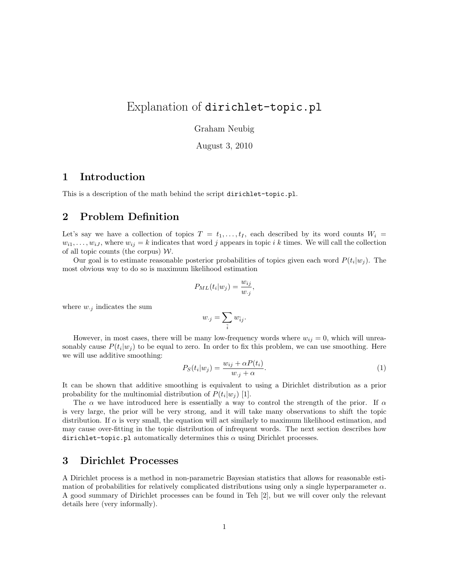# Explanation of dirichlet-topic.pl

Graham Neubig

August 3, 2010

#### **1 Introduction**

This is a description of the math behind the script dirichlet-topic.pl.

## **2 Problem Definition**

Let's say we have a collection of topics  $T = t_1, \ldots, t_I$ , each described by its word counts  $W_i =$  $w_{i1}, \ldots, w_{iJ}$ , where  $w_{ij} = k$  indicates that word *j* appears in topic *i* k times. We will call the collection of all topic counts (the corpus) *W*.

Our goal is to estimate reasonable posterior probabilities of topics given each word  $P(t_i|w_j)$ . The most obvious way to do so is maximum likelihood estimation

$$
P_{ML}(t_i|w_j) = \frac{w_{ij}}{w_{\cdot j}},
$$

where  $w_{\cdot j}$  indicates the sum

$$
w_{\cdot j} = \sum_{\tilde{i}} w_{\tilde{i}j}.
$$

However, in most cases, there will be many low-frequency words where  $w_{ij} = 0$ , which will unreasonably cause  $P(t_i|w_j)$  to be equal to zero. In order to fix this problem, we can use smoothing. Here we will use additive smoothing:

$$
P_S(t_i|w_j) = \frac{w_{ij} + \alpha P(t_i)}{w_{\cdot j} + \alpha}.
$$
\n(1)

It can be shown that additive smoothing is equivalent to using a Dirichlet distribution as a prior probability for the multinomial distribution of  $P(t_i|w_j)$  [1].

The *α* we have introduced here is essentially a way to control the strength of the prior. If *α* is very large, the prior will be very strong, and it will take many observations to shift the topic distribution. If  $\alpha$  is very small, the equation will act similarly to maximum likelihood estimation, and may cause over-fitting in the topic distribution of infrequent words. The next section describes how dirichlet-topic.pl automatically determines this  $\alpha$  using Dirichlet processes.

#### **3 Dirichlet Processes**

A Dirichlet process is a method in non-parametric Bayesian statistics that allows for reasonable estimation of probabilities for relatively complicated distributions using only a single hyperparameter  $\alpha$ . A good summary of Dirichlet processes can be found in Teh [2], but we will cover only the relevant details here (very informally).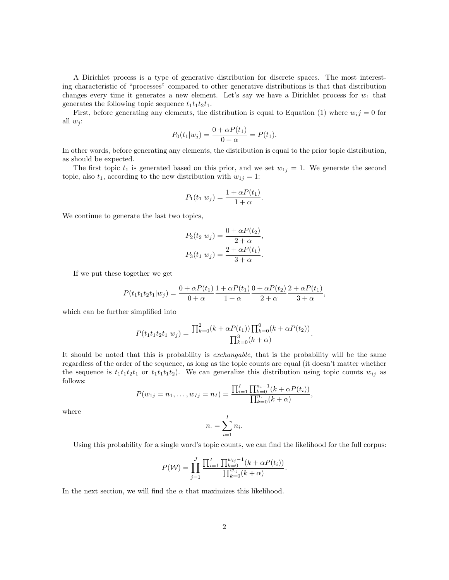A Dirichlet process is a type of generative distribution for discrete spaces. The most interesting characteristic of "processes" compared to other generative distributions is that that distribution changes every time it generates a new element. Let's say we have a Dirichlet process for  $w_1$  that generates the following topic sequence  $t_1t_1t_2t_1$ .

First, before generating any elements, the distribution is equal to Equation (1) where  $w_i j = 0$  for all  $w_i$ :

$$
P_0(t_1|w_j) = \frac{0 + \alpha P(t_1)}{0 + \alpha} = P(t_1).
$$

In other words, before generating any elements, the distribution is equal to the prior topic distribution, as should be expected.

The first topic  $t_1$  is generated based on this prior, and we set  $w_{1j} = 1$ . We generate the second topic, also  $t_1$ , according to the new distribution with  $w_{1j} = 1$ :

$$
P_1(t_1|w_j) = \frac{1 + \alpha P(t_1)}{1 + \alpha}.
$$

We continue to generate the last two topics,

$$
P_2(t_2|w_j) = \frac{0 + \alpha P(t_2)}{2 + \alpha},
$$
  
\n
$$
P_3(t_1|w_j) = \frac{2 + \alpha P(t_1)}{3 + \alpha}.
$$

If we put these together we get

$$
P(t_1t_1t_2t_1|w_j) = \frac{0 + \alpha P(t_1)}{0 + \alpha} \frac{1 + \alpha P(t_1)}{1 + \alpha} \frac{0 + \alpha P(t_2)}{2 + \alpha} \frac{2 + \alpha P(t_1)}{3 + \alpha},
$$

which can be further simplified into

$$
P(t_1t_1t_2t_1|w_j) = \frac{\prod_{k=0}^{2} (k + \alpha P(t_1)) \prod_{k=0}^{0} (k + \alpha P(t_2))}{\prod_{k=0}^{3} (k + \alpha)}.
$$

It should be noted that this is probability is *exchangable*, that is the probability will be the same regardless of the order of the sequence, as long as the topic counts are equal (it doesn't matter whether the sequence is  $t_1t_1t_2t_1$  or  $t_1t_1t_1t_2$ . We can generalize this distribution using topic counts  $w_{ij}$  as follows:

$$
P(w_{1j} = n_1, \dots, w_{Ij} = n_I) = \frac{\prod_{i=1}^{I} \prod_{k=0}^{n_i - 1} (k + \alpha P(t_i))}{\prod_{k=0}^{n_i} (k + \alpha)},
$$

where

$$
n. = \sum_{i=1}^{I} n_i.
$$

Using this probability for a single word's topic counts, we can find the likelihood for the full corpus:

$$
P(\mathcal{W}) = \prod_{j=1}^{J} \frac{\prod_{i=1}^{I} \prod_{k=0}^{w_{ij}-1} (k + \alpha P(t_i))}{\prod_{k=0}^{w_{ij}} (k + \alpha)}.
$$

In the next section, we will find the  $\alpha$  that maximizes this likelihood.